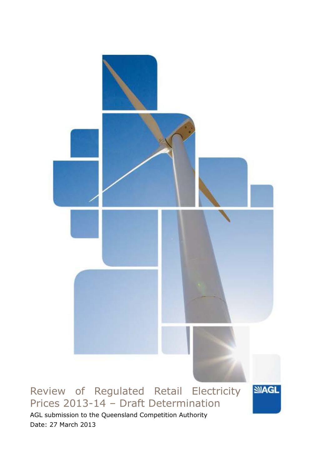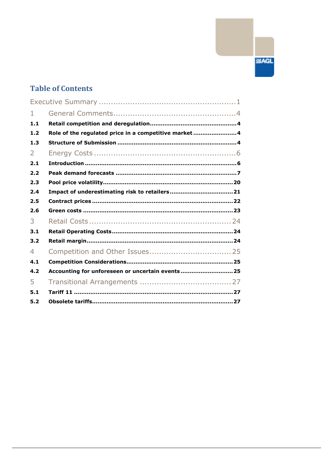# **SIAGL**

# **Table of Contents**

| $\mathbf{1}$ |                                                      |
|--------------|------------------------------------------------------|
| 1.1          |                                                      |
| 1.2          | Role of the regulated price in a competitive market4 |
| 1.3          |                                                      |
| 2            |                                                      |
| 2.1          |                                                      |
| 2.2          |                                                      |
| 2.3          |                                                      |
| 2.4          |                                                      |
| 2.5          |                                                      |
| 2.6          |                                                      |
| 3            |                                                      |
| 3.1          |                                                      |
| 3.2          |                                                      |
| 4            |                                                      |
| 4.1          |                                                      |
| 4.2          | Accounting for unforeseen or uncertain events 25     |
| 5            |                                                      |
| 5.1          |                                                      |
| 5.2          |                                                      |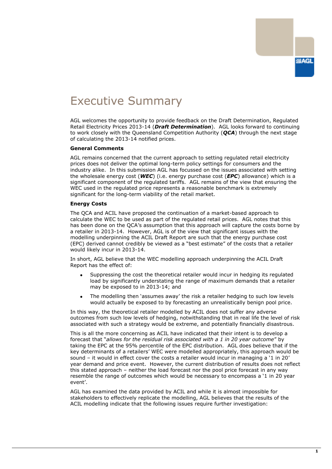# <span id="page-2-0"></span>Executive Summary

AGL welcomes the opportunity to provide feedback on the Draft Determination, Regulated Retail Electricity Prices 2013-14 (*Draft Determination*). AGL looks forward to continuing to work closely with the Queensland Competition Authority (*QCA*) through the next stage of calculating the 2013-14 notified prices.

#### **General Comments**

AGL remains concerned that the current approach to setting regulated retail electricity prices does not deliver the optimal long-term policy settings for consumers and the industry alike. In this submission AGL has focussed on the issues associated with setting the wholesale energy cost (*WEC*) (i.e. energy purchase cost (*EPC*) allowance) which is a significant component of the regulated tariffs. AGL remains of the view that ensuring the WEC used in the regulated price represents a reasonable benchmark is extremely significant for the long-term viability of the retail market.

#### **Energy Costs**

The QCA and ACIL have proposed the continuation of a market-based approach to calculate the WEC to be used as part of the regulated retail prices. AGL notes that this has been done on the QCA's assumption that this approach will capture the costs borne by a retailer in 2013-14. However, AGL is of the view that significant issues with the modelling underpinning the ACIL Draft Report are such that the energy purchase cost (EPC) derived cannot credibly be viewed as a "best estimate" of the costs that a retailer would likely incur in 2013-14.

In short, AGL believe that the WEC modelling approach underpinning the ACIL Draft Report has the effect of:

- Suppressing the cost the theoretical retailer would incur in hedging its regulated load by significantly understating the range of maximum demands that a retailer may be exposed to in 2013-14; and
- The modelling then 'assumes away' the risk a retailer hedging to such low levels would actually be exposed to by forecasting an unrealistically benign pool price.

In this way, the theoretical retailer modelled by ACIL does not suffer any adverse outcomes from such low levels of hedging, notwithstanding that in real life the level of risk associated with such a strategy would be extreme, and potentially financially disastrous.

This is all the more concerning as ACIL have indicated that their intent is to develop a forecast that "*allows for the residual risk associated with a 1 in 20 year outcome"* by taking the EPC at the 95% percentile of the EPC distribution. AGL does believe that if the key determinants of a retailers' WEC were modelled appropriately, this approach would be sound – it would in effect cover the costs a retailer would incur in managing a '1 in 20' year demand and price event. However, the current distribution of results does not reflect this stated approach – neither the load forecast nor the pool price forecast in any way resemble the range of outcomes which would be necessary to encompass a '1 in 20 year event'.

AGL has examined the data provided by ACIL and while it is almost impossible for stakeholders to effectively replicate the modelling, AGL believes that the results of the ACIL modelling indicate that the following issues require further investigation: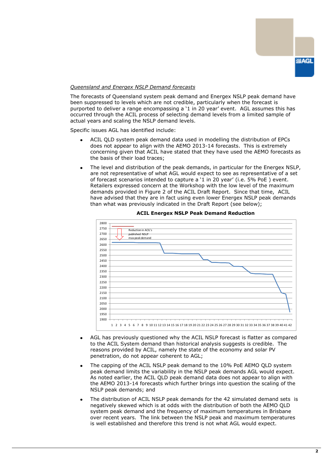#### *Queensland and Energex NSLP Demand forecasts*

The forecasts of Queensland system peak demand and Energex NSLP peak demand have been suppressed to levels which are not credible, particularly when the forecast is purported to deliver a range encompassing a '1 in 20 year' event. AGL assumes this has occurred through the ACIL process of selecting demand levels from a limited sample of actual years and scaling the NSLP demand levels.

Specific issues AGL has identified include:

- ACIL QLD system peak demand data used in modelling the distribution of EPCs does not appear to align with the AEMO 2013-14 forecasts. This is extremely concerning given that ACIL have stated that they have used the AEMO forecasts as the basis of their load traces;
- The level and distribution of the peak demands, in particular for the Energex NSLP, are not representative of what AGL would expect to see as representative of a set of forecast scenarios intended to capture a '1 in 20 year' (i.e. 5% PoE) event. Retailers expressed concern at the Workshop with the low level of the maximum demands provided in Figure 2 of the ACIL Draft Report. Since that time, ACIL have advised that they are in fact using even lower Energex NSLP peak demands than what was previously indicated in the Draft Report (see below);



#### **ACIL Energex NSLP Peak Demand Reduction**

- AGL has previously questioned why the ACIL NSLP forecast is flatter as compared to the ACIL System demand than historical analysis suggests is credible. The reasons provided by ACIL, namely the state of the economy and solar PV penetration, do not appear coherent to AGL;
- The capping of the ACIL NSLP peak demand to the 10% PoE AEMO QLD system peak demand limits the variability in the NSLP peak demands AGL would expect. As noted earlier, the ACIL QLD peak demand data does not appear to align with the AEMO 2013-14 forecasts which further brings into question the scaling of the NSLP peak demands; and
- The distribution of ACIL NSLP peak demands for the 42 simulated demand sets is negatively skewed which is at odds with the distribution of both the AEMO QLD system peak demand and the frequency of maximum temperatures in Brisbane over recent years. The link between the NSLP peak and maximum temperatures is well established and therefore this trend is not what AGL would expect.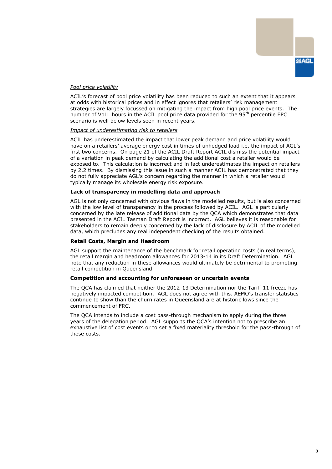#### *Pool price volatility*

ACIL's forecast of pool price volatility has been reduced to such an extent that it appears at odds with historical prices and in effect ignores that retailers' risk management strategies are largely focussed on mitigating the impact from high pool price events. The number of VoLL hours in the ACIL pool price data provided for the 95th percentile EPC scenario is well below levels seen in recent years.

#### *Impact of underestimating risk to retailers*

ACIL has underestimated the impact that lower peak demand and price volatility would have on a retailers' average energy cost in times of unhedged load i.e. the impact of AGL's first two concerns. On page 21 of the ACIL Draft Report ACIL dismiss the potential impact of a variation in peak demand by calculating the additional cost a retailer would be exposed to. This calculation is incorrect and in fact underestimates the impact on retailers by 2.2 times. By dismissing this issue in such a manner ACIL has demonstrated that they do not fully appreciate AGL's concern regarding the manner in which a retailer would typically manage its wholesale energy risk exposure.

#### **Lack of transparency in modelling data and approach**

AGL is not only concerned with obvious flaws in the modelled results, but is also concerned with the low level of transparency in the process followed by ACIL. AGL is particularly concerned by the late release of additional data by the QCA which demonstrates that data presented in the ACIL Tasman Draft Report is incorrect. AGL believes it is reasonable for stakeholders to remain deeply concerned by the lack of disclosure by ACIL of the modelled data, which precludes any real independent checking of the results obtained.

#### **Retail Costs, Margin and Headroom**

AGL support the maintenance of the benchmark for retail operating costs (in real terms), the retail margin and headroom allowances for 2013-14 in its Draft Determination. AGL note that any reduction in these allowances would ultimately be detrimental to promoting retail competition in Queensland.

#### **Competition and accounting for unforeseen or uncertain events**

The QCA has claimed that neither the 2012-13 Determination nor the Tariff 11 freeze has negatively impacted competition. AGL does not agree with this. AEMO's transfer statistics continue to show than the churn rates in Queensland are at historic lows since the commencement of FRC.

The QCA intends to include a cost pass-through mechanism to apply during the three years of the delegation period. AGL supports the QCA's intention not to prescribe an exhaustive list of cost events or to set a fixed materiality threshold for the pass-through of these costs.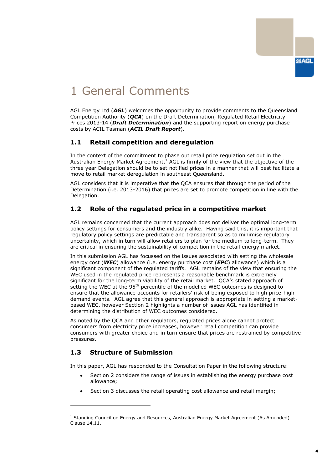

# <span id="page-5-0"></span>1 General Comments

AGL Energy Ltd (*AGL*) welcomes the opportunity to provide comments to the Queensland Competition Authority (*QCA*) on the Draft Determination, Regulated Retail Electricity Prices 2013-14 (*Draft Determination*) and the supporting report on energy purchase costs by ACIL Tasman (*ACIL Draft Report*).

# <span id="page-5-1"></span>**1.1 Retail competition and deregulation**

In the context of the commitment to phase out retail price regulation set out in the Australian Energy Market Agreement, $<sup>1</sup>$  AGL is firmly of the view that the objective of the</sup> three year Delegation should be to set notified prices in a manner that will best facilitate a move to retail market deregulation in southeast Queensland.

AGL considers that it is imperative that the QCA ensures that through the period of the Determination (i.e. 2013-2016) that prices are set to promote competition in line with the Delegation.

# <span id="page-5-2"></span>**1.2 Role of the regulated price in a competitive market**

AGL remains concerned that the current approach does not deliver the optimal long-term policy settings for consumers and the industry alike. Having said this, it is important that regulatory policy settings are predictable and transparent so as to minimise regulatory uncertainty, which in turn will allow retailers to plan for the medium to long-term. They are critical in ensuring the sustainability of competition in the retail energy market.

In this submission AGL has focussed on the issues associated with setting the wholesale energy cost (*WEC*) allowance (i.e. energy purchase cost (*EPC*) allowance) which is a significant component of the regulated tariffs. AGL remains of the view that ensuring the WEC used in the regulated price represents a reasonable benchmark is extremely significant for the long-term viability of the retail market. QCA's stated approach of setting the WEC at the 95<sup>th</sup> percentile of the modelled WEC outcomes is designed to ensure that the allowance accounts for retailers' risk of being exposed to high price-high demand events. AGL agree that this general approach is appropriate in setting a marketbased WEC, however Section 2 highlights a number of issues AGL has identified in determining the distribution of WEC outcomes considered.

As noted by the QCA and other regulators, regulated prices alone cannot protect consumers from electricity price increases, however retail competition can provide consumers with greater choice and in turn ensure that prices are restrained by competitive pressures.

# <span id="page-5-3"></span>**1.3 Structure of Submission**

-

In this paper, AGL has responded to the Consultation Paper in the following structure:

- Section 2 considers the range of issues in establishing the energy purchase cost allowance;
- Section 3 discusses the retail operating cost allowance and retail margin;

 $1$  Standing Council on Energy and Resources, Australian Energy Market Agreement (As Amended) Clause 14.11.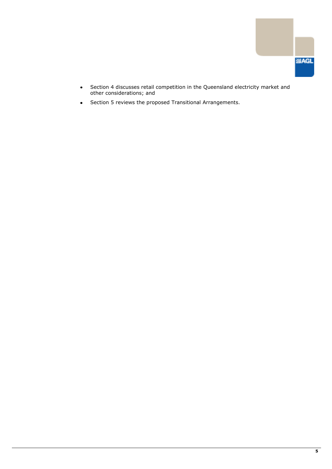

- $\bullet$ Section 4 discusses retail competition in the Queensland electricity market and other considerations; and
- Section 5 reviews the proposed Transitional Arrangements.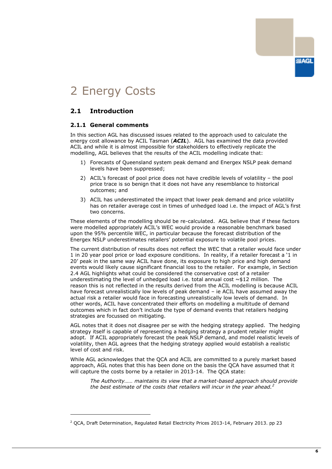# **SIAGL**

# <span id="page-7-0"></span>2 Energy Costs

# <span id="page-7-1"></span>**2.1 Introduction**

-

#### **2.1.1 General comments**

In this section AGL has discussed issues related to the approach used to calculate the energy cost allowance by ACIL Tasman (*ACIL*). AGL has examined the data provided ACIL and while it is almost impossible for stakeholders to effectively replicate the modelling, AGL believes that the results of the ACIL modelling indicate that:

- 1) Forecasts of Queensland system peak demand and Energex NSLP peak demand levels have been suppressed;
- 2) ACIL's forecast of pool price does not have credible levels of volatility the pool price trace is so benign that it does not have any resemblance to historical outcomes; and
- 3) ACIL has underestimated the impact that lower peak demand and price volatility has on retailer average cost in times of unhedged load i.e. the impact of AGL's first two concerns.

These elements of the modelling should be re-calculated. AGL believe that if these factors were modelled appropriately ACIL's WEC would provide a reasonable benchmark based upon the 95% percentile WEC, in particular because the forecast distribution of the Energex NSLP underestimates retailers' potential exposure to volatile pool prices.

The current distribution of results does not reflect the WEC that a retailer would face under 1 in 20 year pool price or load exposure conditions. In reality, if a retailer forecast a '1 in 20' peak in the same way ACIL have done, its exposure to high price and high demand events would likely cause significant financial loss to the retailer. For example, in Section 2.4 AGL highlights what could be considered the conservative cost of a retailer underestimating the level of unhedged load i.e. total annual cost  $\sim$ \$12 million. The reason this is not reflected in the results derived from the ACIL modelling is because ACIL have forecast unrealistically low levels of peak demand – ie ACIL have assumed away the actual risk a retailer would face in forecasting unrealistically low levels of demand. In other words, ACIL have concentrated their efforts on modelling a multitude of demand outcomes which in fact don't include the type of demand events that retailers hedging strategies are focussed on mitigating.

AGL notes that it does not disagree per se with the hedging strategy applied. The hedging strategy itself is capable of representing a hedging strategy a prudent retailer might adopt. If ACIL appropriately forecast the peak NSLP demand, and model realistic levels of volatility, then AGL agrees that the hedging strategy applied would establish a realistic level of cost and risk.

While AGL acknowledges that the QCA and ACIL are committed to a purely market based approach, AGL notes that this has been done on the basis the QCA have assumed that it will capture the costs borne by a retailer in 2013-14. The QCA state:

*The Authority…… maintains its view that a market-based approach should provide the best estimate of the costs that retailers will incur in the year ahead.<sup>2</sup>*

<sup>2</sup> QCA, Draft Determination, Regulated Retail Electricity Prices 2013-14, February 2013. pp 23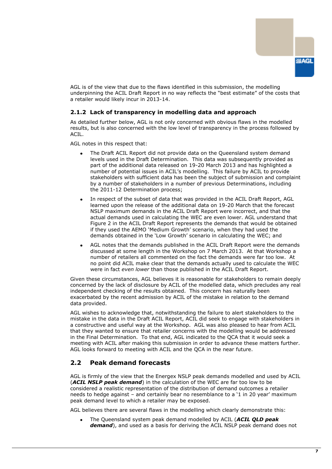

AGL is of the view that due to the flaws identified in this submission, the modelling underpinning the ACIL Draft Report in no way reflects the "best estimate" of the costs that a retailer would likely incur in 2013-14.

#### **2.1.2 Lack of transparency in modelling data and approach**

As detailed further below, AGL is not only concerned with obvious flaws in the modelled results, but is also concerned with the low level of transparency in the process followed by ACIL.

AGL notes in this respect that:

- The Draft ACIL Report did not provide data on the Queensland system demand levels used in the Draft Determination. This data was subsequently provided as part of the additional data released on 19-20 March 2013 and has highlighted a number of potential issues in ACIL's modelling. This failure by ACIL to provide stakeholders with sufficient data has been the subject of submission and complaint by a number of stakeholders in a number of previous Determinations, including the 2011-12 Determination process;
- In respect of the subset of data that was provided in the ACIL Draft Report, AGL learned upon the release of the additional data on 19-20 March that the forecast NSLP maximum demands in the ACIL Draft Report were incorrect, and that the actual demands used in calculating the WEC are even lower. AGL understand that Figure 2 in the ACIL Draft Report represents the demands that would be obtained if they used the AEMO 'Medium Growth' scenario, when they had used the demands obtained in the 'Low Growth' scenario in calculating the WEC; and
- AGL notes that the demands published in the ACIL Draft Report were the demands discussed at some length in the Workshop on 7 March 2013. At that Workshop a number of retailers all commented on the fact the demands were far too low. At no point did ACIL make clear that the demands actually used to calculate the WEC were in fact *even lower* than those published in the ACIL Draft Report.

Given these circumstances, AGL believes it is reasonable for stakeholders to remain deeply concerned by the lack of disclosure by ACIL of the modelled data, which precludes any real independent checking of the results obtained. This concern has naturally been exacerbated by the recent admission by ACIL of the mistake in relation to the demand data provided.

AGL wishes to acknowledge that, notwithstanding the failure to alert stakeholders to the mistake in the data in the Draft ACIL Report, ACIL did seek to engage with stakeholders in a constructive and useful way at the Workshop. AGL was also pleased to hear from ACIL that they wanted to ensure that retailer concerns with the modelling would be addressed in the Final Determination. To that end, AGL indicated to the QCA that it would seek a meeting with ACIL after making this submission in order to advance these matters further. AGL looks forward to meeting with ACIL and the QCA in the near future.

# <span id="page-8-0"></span>**2.2 Peak demand forecasts**

AGL is firmly of the view that the Energex NSLP peak demands modelled and used by ACIL (*ACIL NSLP peak demand*) in the calculation of the WEC are far too low to be considered a realistic representation of the distribution of demand outcomes a retailer needs to hedge against - and certainly bear no resemblance to a '1 in 20 year' maximum peak demand level to which a retailer may be exposed.

AGL believes there are several flaws in the modelling which clearly demonstrate this:

The Queensland system peak demand modelled by ACIL (*ACIL QLD peak demand*), and used as a basis for deriving the ACIL NSLP peak demand does not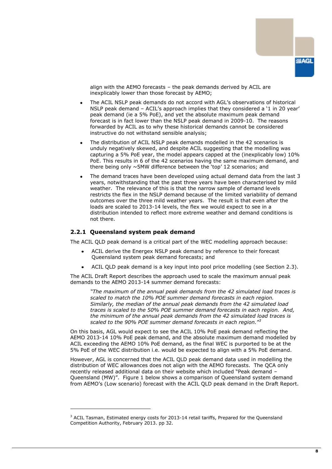

align with the AEMO forecasts – the peak demands derived by ACIL are inexplicably lower than those forecast by AEMO;

- The ACIL NSLP peak demands do not accord with AGL's observations of historical NSLP peak demand - ACIL's approach implies that they considered a '1 in 20 year' peak demand (ie a 5% PoE), and yet the absolute maximum peak demand forecast is in fact lower than the NSLP peak demand in 2009-10. The reasons forwarded by ACIL as to why these historical demands cannot be considered instructive do not withstand sensible analysis;
- The distribution of ACIL NSLP peak demands modelled in the 42 scenarios is unduly negatively skewed, and despite ACIL suggesting that the modelling was capturing a 5% PoE year, the model appears capped at the (inexplicably low) 10% PoE. This results in 6 of the 42 scenarios having the same maximum demand, and there being only  $\sim$  5MW difference between the 'top' 12 scenarios; and
- The demand traces have been developed using actual demand data from the last 3 years, notwithstanding that the past three years have been characterised by mild weather. The relevance of this is that the narrow sample of demand levels restricts the flex in the NSLP demand because of the limited variability of demand outcomes over the three mild weather years. The result is that even after the loads are scaled to 2013-14 levels, the flex we would expect to see in a distribution intended to reflect more extreme weather and demand conditions is not there.

#### **2.2.1 Queensland system peak demand**

-

The ACIL QLD peak demand is a critical part of the WEC modelling approach because:

- ACIL derive the Energex NSLP peak demand by reference to their forecast Queensland system peak demand forecasts; and
- ACIL QLD peak demand is a key input into pool price modelling (see Section 2.3).  $\bullet$

The ACIL Draft Report describes the approach used to scale the maximum annual peak demands to the AEMO 2013-14 summer demand forecasts:

*"The maximum of the annual peak demands from the 42 simulated load traces is scaled to match the 10% POE summer demand forecasts in each region. Similarly, the median of the annual peak demands from the 42 simulated load traces is scaled to the 50% POE summer demand forecasts in each region. And, the minimum of the annual peak demands from the 42 simulated load traces is scaled to the 90% POE summer demand forecasts in each region."<sup>3</sup>*

On this basis, AGL would expect to see the ACIL 10% PoE peak demand reflecting the AEMO 2013-14 10% PoE peak demand, and the absolute maximum demand modelled by ACIL exceeding the AEMO 10% PoE demand, as the final WEC is purported to be at the 5% PoE of the WEC distribution i.e. would be expected to align with a 5% PoE demand.

However, AGL is concerned that the ACIL QLD peak demand data used in modelling the distribution of WEC allowances does not align with the AEMO forecasts. The QCA only recently released additional data on their website which included "Peak demand – Queensland (MW)". Figure 1 below shows a comparison of Queensland system demand from AEMO's (Low scenario) forecast with the ACIL QLD peak demand in the Draft Report.

 $3$  ACIL Tasman, Estimated energy costs for 2013-14 retail tariffs, Prepared for the Queensland Competition Authority, February 2013. pp 32.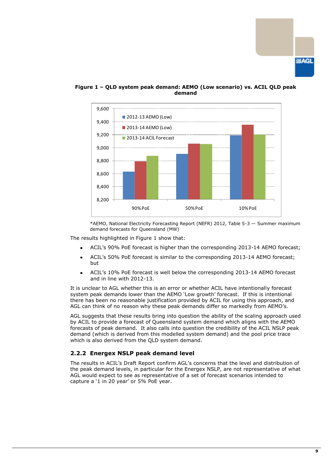



#### **Figure 1 – QLD system peak demand: AEMO (Low scenario) vs. ACIL QLD peak demand**

\*AEMO, National Electricity Forecasting Report (NEFR) 2012, Table 5-3 — Summer maximum demand forecasts for Queensland (MW)

The results highlighted in Figure 1 show that:

- ACIL's 90% PoE forecast is higher than the corresponding 2013-14 AEMO forecast;
- ACIL's 50% PoE forecast is similar to the corresponding 2013-14 AEMO forecast; but
- ACIL's 10% PoE forecast is well below the corresponding 2013-14 AEMO forecast and in line with 2012-13.

It is unclear to AGL whether this is an error or whether ACIL have intentionally forecast system peak demands lower than the AEMO 'Low growth' forecast. If this is intentional there has been no reasonable justification provided by ACIL for using this approach, and AGL can think of no reason why these peak demands differ so markedly from AEMO's.

AGL suggests that these results bring into question the ability of the scaling approach used by ACIL to provide a forecast of Queensland system demand which aligns with the AEMO forecasts of peak demand. It also calls into question the credibility of the ACIL NSLP peak demand (which is derived from this modelled system demand) and the pool price trace which is also derived from the QLD system demand.

#### **2.2.2 Energex NSLP peak demand level**

The results in ACIL's Draft Report confirm AGL's concerns that the level and distribution of the peak demand levels, in particular for the Energex NSLP, are not representative of what AGL would expect to see as representative of a set of forecast scenarios intended to capture a '1 in 20 year' or 5% PoE year.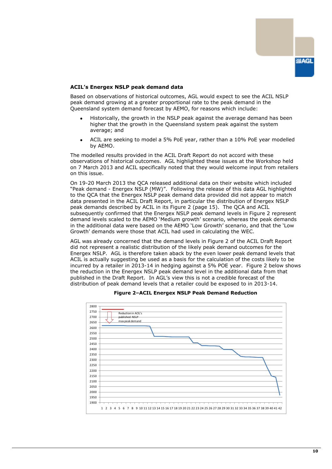

#### **ACIL's Energex NSLP peak demand data**

Based on observations of historical outcomes, AGL would expect to see the ACIL NSLP peak demand growing at a greater proportional rate to the peak demand in the Queensland system demand forecast by AEMO, for reasons which include:

- Historically, the growth in the NSLP peak against the average demand has been higher that the growth in the Queensland system peak against the system average; and
- ACIL are seeking to model a 5% PoE year, rather than a 10% PoE year modelled by AEMO.

The modelled results provided in the ACIL Draft Report do not accord with these observations of historical outcomes. AGL highlighted these issues at the Workshop held on 7 March 2013 and ACIL specifically noted that they would welcome input from retailers on this issue.

On 19-20 March 2013 the QCA released additional data on their website which included "Peak demand - Energex NSLP (MW)". Following the release of this data AGL highlighted to the QCA that the Energex NSLP peak demand data provided did not appear to match data presented in the ACIL Draft Report, in particular the distribution of Energex NSLP peak demands described by ACIL in its Figure 2 (page 15). The QCA and ACIL subsequently confirmed that the Energex NSLP peak demand levels in Figure 2 represent demand levels scaled to the AEMO 'Medium growth' scenario, whereas the peak demands in the additional data were based on the AEMO 'Low Growth' scenario, and that the 'Low Growth' demands were those that ACIL had used in calculating the WEC.

AGL was already concerned that the demand levels in Figure 2 of the ACIL Draft Report did not represent a realistic distribution of the likely peak demand outcomes for the Energex NSLP. AGL is therefore taken aback by the even lower peak demand levels that ACIL is actually suggesting be used as a basis for the calculation of the costs likely to be incurred by a retailer in 2013-14 in hedging against a 5% POE year. Figure 2 below shows the reduction in the Energex NSLP peak demand level in the additional data from that published in the Draft Report. In AGL's view this is not a credible forecast of the distribution of peak demand levels that a retailer could be exposed to in 2013-14.



#### **Figure 2–ACIL Energex NSLP Peak Demand Reduction**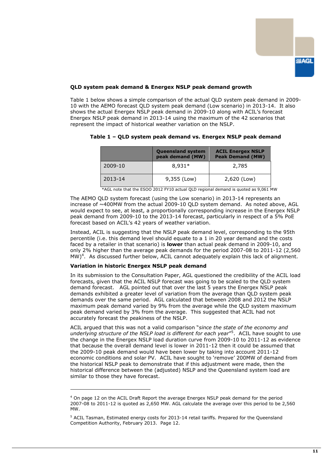

#### **QLD system peak demand & Energex NSLP peak demand growth**

Table 1 below shows a simple comparison of the actual QLD system peak demand in 2009- 10 with the AEMO forecast QLD system peak demand (Low scenario) in 2013-14. It also shows the actual Energex NSLP peak demand in 2009-10 along with ACIL's forecast Energex NSLP peak demand in 2013-14 using the maximum of the 42 scenarios that represent the impact of historical weather variation on the NSLP.

|         | <b>Queensland system</b><br>peak demand (MW) | <b>ACIL Energex NSLP</b><br><b>Peak Demand (MW)</b> |
|---------|----------------------------------------------|-----------------------------------------------------|
| 2009-10 | $8.931*$                                     | 2,785                                               |
| 2013-14 | 9,355 (Low)                                  | 2,620 (Low)                                         |

#### **Table 1 – QLD system peak demand vs. Energex NSLP peak demand**

\*AGL note that the ESOO 2012 FY10 actual QLD regional demand is quoted as 9,061 MW

The AEMO QLD system forecast (using the Low scenario) in 2013-14 represents an increase of ~400MW from the actual 2009-10 QLD system demand. As noted above, AGL would expect to see, at least, a proportionally corresponding increase in the Energex NSLP peak demand from 2009-10 to the 2013-14 forecast, particularly in respect of a 5% PoE forecast based on ACIL's 42 years of weather variation.

Instead, ACIL is suggesting that the NSLP peak demand level, corresponding to the 95th percentile (i.e. this demand level should equate to a 1 in 20 year demand and the costs faced by a retailer in that scenario) is **lower** than actual peak demand in 2009-10, and only 2% higher than the average peak demands for the period 2007-08 to 2011-12 (2,560 MW)<sup>4</sup>. As discussed further below, ACIL cannot adequately explain this lack of alignment.

#### **Variation in historic Energex NSLP peak demand**

-

In its submission to the Consultation Paper, AGL questioned the credibility of the ACIL load forecasts, given that the ACIL NSLP forecast was going to be scaled to the QLD system demand forecast. AGL pointed out that over the last 5 years the Energex NSLP peak demands exhibited a greater level of variation from the average than QLD system peak demands over the same period. AGL calculated that between 2008 and 2012 the NSLP maximum peak demand varied by 9% from the average while the QLD system maximum peak demand varied by 3% from the average. This suggested that ACIL had not accurately forecast the peakiness of the NSLP.

ACIL argued that this was not a valid comparison ―*since the state of the economy and*  underlying structure of the NSLP load is different for each year<sup>"5</sup>. ACIL have sought to use the change in the Energex NSLP load duration curve from 2009-10 to 2011-12 as evidence that because the overall demand level is lower in 2011-12 then it could be assumed that the 2009-10 peak demand would have been lower by taking into account 2011-12 economic conditions and solar PV. ACIL have sought to 'remove' 200MW of demand from the historical NSLP peak to demonstrate that if this adjustment were made, then the historical difference between the (adjusted) NSLP and the Queensland system load are similar to those they have forecast.

<sup>4</sup> On page 12 on the ACIL Draft Report the average Energex NSLP peak demand for the period 2007-08 to 2011-12 is quoted as 2,650 MW. AGL calculate the average over this period to be 2,560 MW.

<sup>5</sup> ACIL Tasman, Estimated energy costs for 2013-14 retail tariffs. Prepared for the Queensland Competition Authority, February 2013. Page 12.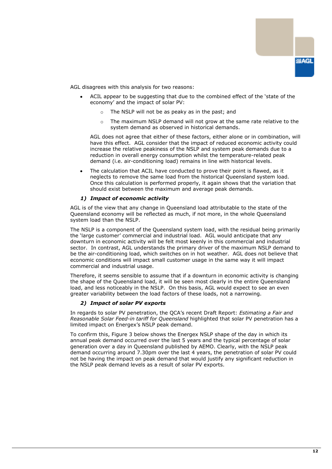

AGL disagrees with this analysis for two reasons:

- ACIL appear to be suggesting that due to the combined effect of the 'state of the economy' and the impact of solar PV:
	- o The NSLP will not be as peaky as in the past; and
	- $\circ$  The maximum NSLP demand will not grow at the same rate relative to the system demand as observed in historical demands.

AGL does not agree that either of these factors, either alone or in combination, will have this effect. AGL consider that the impact of reduced economic activity could increase the relative peakiness of the NSLP and system peak demands due to a reduction in overall energy consumption whilst the temperature-related peak demand (i.e. air-conditioning load) remains in line with historical levels.

The calculation that ACIL have conducted to prove their point is flawed, as it neglects to remove the same load from the historical Queensland system load. Once this calculation is performed properly, it again shows that the variation that should exist between the maximum and average peak demands.

#### *1) Impact of economic activity*

AGL is of the view that any change in Queensland load attributable to the state of the Queensland economy will be reflected as much, if not more, in the whole Queensland system load than the NSLP.

The NSLP is a component of the Queensland system load, with the residual being primarily the 'large customer' commercial and industrial load. AGL would anticipate that any downturn in economic activity will be felt most keenly in this commercial and industrial sector. In contrast, AGL understands the primary driver of the maximum NSLP demand to be the air-conditioning load, which switches on in hot weather. AGL does not believe that economic conditions will impact small customer usage in the same way it will impact commercial and industrial usage.

Therefore, it seems sensible to assume that if a downturn in economic activity is changing the shape of the Queensland load, it will be seen most clearly in the entire Queensland load, and less noticeably in the NSLP. On this basis, AGL would expect to see an even greater variability between the load factors of these loads, not a narrowing.

#### *2) Impact of solar PV exports*

In regards to solar PV penetration, the QCA's recent Draft Report: *Estimating a Fair and Reasonable Solar Feed-in tariff for Queensland* highlighted that solar PV penetration has a limited impact on Energex's NSLP peak demand.

To confirm this, Figure 3 below shows the Energex NSLP shape of the day in which its annual peak demand occurred over the last 5 years and the typical percentage of solar generation over a day in Queensland published by AEMO. Clearly, with the NSLP peak demand occurring around 7.30pm over the last 4 years, the penetration of solar PV could not be having the impact on peak demand that would justify any significant reduction in the NSLP peak demand levels as a result of solar PV exports.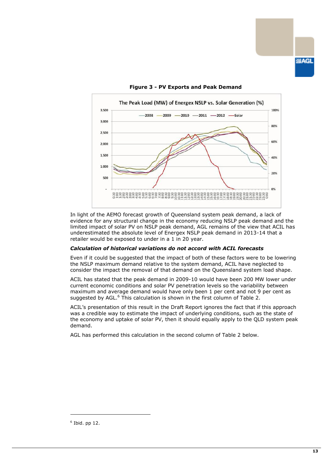

#### **Figure 3 - PV Exports and Peak Demand**

In light of the AEMO forecast growth of Queensland system peak demand, a lack of evidence for any structural change in the economy reducing NSLP peak demand and the limited impact of solar PV on NSLP peak demand, AGL remains of the view that ACIL has underestimated the absolute level of Energex NSLP peak demand in 2013-14 that a retailer would be exposed to under in a 1 in 20 year.

#### *Calculation of historical variations do not accord with ACIL forecasts*

Even if it could be suggested that the impact of both of these factors were to be lowering the NSLP maximum demand relative to the system demand, ACIL have neglected to consider the impact the removal of that demand on the Queensland system load shape.

ACIL has stated that the peak demand in 2009-10 would have been 200 MW lower under current economic conditions and solar PV penetration levels so the variability between maximum and average demand would have only been 1 per cent and not 9 per cent as suggested by AGL.<sup>6</sup> This calculation is shown in the first column of Table 2.

ACIL's presentation of this result in the Draft Report ignores the fact that if this approach was a credible way to estimate the impact of underlying conditions, such as the state of the economy and uptake of solar PV, then it should equally apply to the QLD system peak demand.

AGL has performed this calculation in the second column of Table 2 below.

-

 $6$  Ibid. pp 12.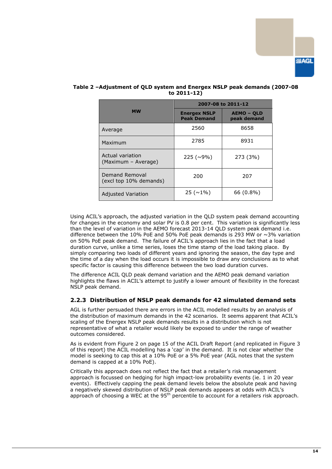

|                                          | 2007-08 to 2011-12                        |                                  |  |
|------------------------------------------|-------------------------------------------|----------------------------------|--|
| <b>MW</b>                                | <b>Energex NSLP</b><br><b>Peak Demand</b> | <b>AEMO - QLD</b><br>peak demand |  |
| Average                                  | 2560                                      | 8658                             |  |
| Maximum                                  | 2785                                      | 8931                             |  |
| Actual variation<br>(Maximum – Average)  | $225(\sim9\%)$                            | 273 (3%)                         |  |
| Demand Removal<br>(excl top 10% demands) | 200                                       | 207                              |  |
| <b>Adjusted Variation</b>                | $25(\sim1\%)$                             | $66(0.8\%)$                      |  |

#### **Table 2 –Adjustment of QLD system and Energex NSLP peak demands (2007-08 to 2011-12)**

Using ACIL's approach, the adjusted variation in the QLD system peak demand accounting for changes in the economy and solar PV is 0.8 per cent. This variation is significantly less than the level of variation in the AEMO forecast 2013-14 QLD system peak demand i.e. difference between the 10% PoE and 50% PoE peak demands is 293 MW or  $\sim$ 3% variation on 50% PoE peak demand. The failure of ACIL's approach lies in the fact that a load duration curve, unlike a time series, loses the time stamp of the load taking place. By simply comparing two loads of different years and ignoring the season, the day type and the time of a day when the load occurs it is impossible to draw any conclusions as to what specific factor is causing this difference between the two load duration curves.

The difference ACIL QLD peak demand variation and the AEMO peak demand variation highlights the flaws in ACIL's attempt to justify a lower amount of flexibility in the forecast NSLP peak demand.

#### **2.2.3 Distribution of NSLP peak demands for 42 simulated demand sets**

AGL is further persuaded there are errors in the ACIL modelled results by an analysis of the distribution of maximum demands in the 42 scenarios. It seems apparent that ACIL's scaling of the Energex NSLP peak demands results in a distribution which is not representative of what a retailer would likely be exposed to under the range of weather outcomes considered.

As is evident from Figure 2 on page 15 of the ACIL Draft Report (and replicated in Figure 3 of this report) the ACIL modelling has a 'cap' in the demand. It is not clear whether the model is seeking to cap this at a 10% PoE or a 5% PoE year (AGL notes that the system demand is capped at a 10% PoE).

Critically this approach does not reflect the fact that a retailer's risk management approach is focussed on hedging for high impact-low probability events (ie. 1 in 20 year events). Effectively capping the peak demand levels below the absolute peak and having a negatively skewed distribution of NSLP peak demands appears at odds with ACIL's approach of choosing a WEC at the 95<sup>th</sup> percentile to account for a retailers risk approach.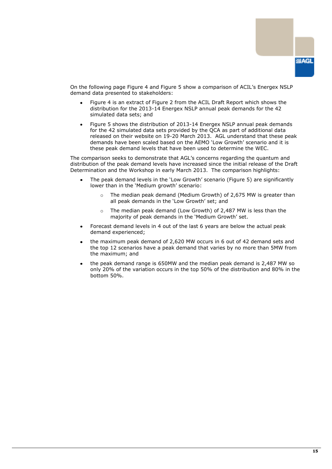

On the following page Figure 4 and Figure 5 show a comparison of ACIL's Energex NSLP demand data presented to stakeholders:

- Figure 4 is an extract of Figure 2 from the ACIL Draft Report which shows the distribution for the 2013-14 Energex NSLP annual peak demands for the 42 simulated data sets; and
- Figure 5 shows the distribution of 2013-14 Energex NSLP annual peak demands for the 42 simulated data sets provided by the QCA as part of additional data released on their website on 19-20 March 2013. AGL understand that these peak demands have been scaled based on the AEMO 'Low Growth' scenario and it is these peak demand levels that have been used to determine the WEC.

The comparison seeks to demonstrate that AGL's concerns regarding the quantum and distribution of the peak demand levels have increased since the initial release of the Draft Determination and the Workshop in early March 2013. The comparison highlights:

- The peak demand levels in the 'Low Growth' scenario (Figure 5) are significantly lower than in the 'Medium growth' scenario:
	- The median peak demand (Medium Growth) of 2,675 MW is greater than all peak demands in the 'Low Growth' set; and
	- o The median peak demand (Low Growth) of 2,487 MW is less than the majority of peak demands in the 'Medium Growth' set.
- Forecast demand levels in 4 out of the last 6 years are below the actual peak demand experienced;
- the maximum peak demand of 2,620 MW occurs in 6 out of 42 demand sets and the top 12 scenarios have a peak demand that varies by no more than 5MW from the maximum; and
- the peak demand range is 650MW and the median peak demand is 2,487 MW so only 20% of the variation occurs in the top 50% of the distribution and 80% in the bottom 50%.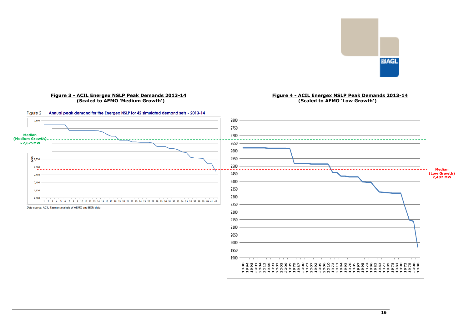

#### **Figure 3 - ACIL Energex NSLP Peak Demands 2013-14 (Scaled to AEMO 'Medium Growth')**

#### **Figure 4 - ACIL Energex NSLP Peak Demands 2013-14 (Scaled to AEMO 'Low Growth')**

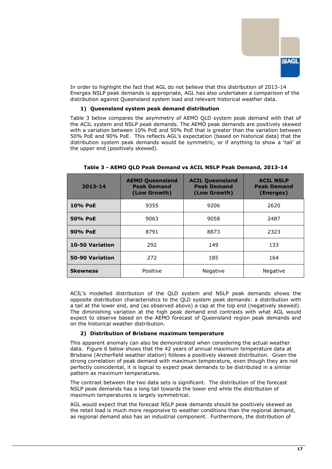

In order to highlight the fact that AGL do not believe that this distribution of 2013-14 Energex NSLP peak demands is appropriate, AGL has also undertaken a comparison of the distribution against Queensland system load and relevant historical weather data.

#### **1) Queensland system peak demand distribution**

Table 3 below compares the asymmetry of AEMO QLD system peak demand with that of the ACIL system and NSLP peak demands. The AEMO peak demands are positively skewed with a variation between 10% PoE and 50% PoE that is greater than the variation between 50% PoE and 90% PoE. This reflects AGL's expectation (based on historical data) that the distribution system peak demands would be symmetric, or if anything to show a 'tail' at the upper end (positively skewed).

| 2013-14         | <b>AEMO Queensland</b><br><b>Peak Demand</b><br>(Low Growth) | <b>ACIL Queensland</b><br><b>Peak Demand</b><br>(Low Growth) | <b>ACIL NSLP</b><br><b>Peak Demand</b><br>(Energex) |
|-----------------|--------------------------------------------------------------|--------------------------------------------------------------|-----------------------------------------------------|
| 10% PoE         | 9355                                                         | 9206                                                         | 2620                                                |
| 50% PoE         | 9063                                                         | 9058                                                         | 2487                                                |
| 90% PoE         | 8791                                                         | 8873                                                         | 2323                                                |
| 10-50 Variation | 292                                                          | 149                                                          | 133                                                 |
| 50-90 Variation | 272                                                          | 185                                                          | 164                                                 |
| <b>Skewness</b> | Positive                                                     | Negative                                                     | <b>Negative</b>                                     |

#### **Table 3 - AEMO QLD Peak Demand vs ACIL NSLP Peak Demand, 2013-14**

ACIL's modelled distribution of the QLD system and NSLP peak demands shows the opposite distribution characteristics to the QLD system peak demands: a distribution with a tail at the lower end, and (as observed above) a cap at the top end (negatively skewed). The diminishing variation at the high peak demand end contrasts with what AGL would expect to observe based on the AEMO forecast of Queensland region peak demands and on the historical weather distribution.

#### **2) Distribution of Brisbane maximum temperature**

This apparent anomaly can also be demonstrated when considering the actual weather data. Figure 6 below shows that the 42 years of annual maximum temperature data at Brisbane (Archerfield weather station) follows a positively skewed distribution. Given the strong correlation of peak demand with maximum temperature, even though they are not perfectly coincidental, it is logical to expect peak demands to be distributed in a similar pattern as maximum temperatures.

The contrast between the two data sets is significant. The distribution of the forecast NSLP peak demands has a long tail towards the lower end while the distribution of maximum temperatures is largely symmetrical.

AGL would expect that the forecast NSLP peak demands should be positively skewed as the retail load is much more responsive to weather conditions than the regional demand, as regional demand also has an industrial component. Furthermore, the distribution of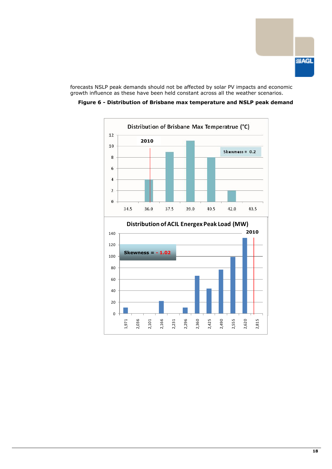

forecasts NSLP peak demands should not be affected by solar PV impacts and economic growth influence as these have been held constant across all the weather scenarios.



**Figure 6 - Distribution of Brisbane max temperature and NSLP peak demand**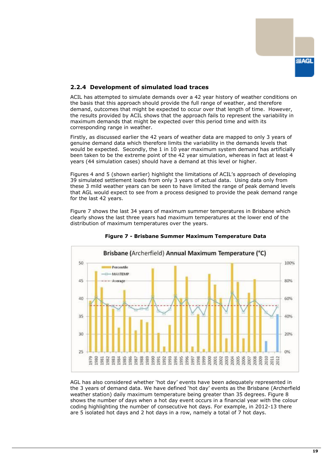

#### **2.2.4 Development of simulated load traces**

ACIL has attempted to simulate demands over a 42 year history of weather conditions on the basis that this approach should provide the full range of weather, and therefore demand, outcomes that might be expected to occur over that length of time. However, the results provided by ACIL shows that the approach fails to represent the variability in maximum demands that might be expected over this period time and with its corresponding range in weather.

Firstly, as discussed earlier the 42 years of weather data are mapped to only 3 years of genuine demand data which therefore limits the variability in the demands levels that would be expected. Secondly, the 1 in 10 year maximum system demand has artificially been taken to be the extreme point of the 42 year simulation, whereas in fact at least 4 years (44 simulation cases) should have a demand at this level or higher.

Figures 4 and 5 (shown earlier) highlight the limitations of ACIL's approach of developing 39 simulated settlement loads from only 3 years of actual data. Using data only from these 3 mild weather years can be seen to have limited the range of peak demand levels that AGL would expect to see from a process designed to provide the peak demand range for the last 42 years.

Figure 7 shows the last 34 years of maximum summer temperatures in Brisbane which clearly shows the last three years had maximum temperatures at the lower end of the distribution of maximum temperatures over the years.



**Figure 7 - Brisbane Summer Maximum Temperature Data**

AGL has also considered whether 'hot day' events have been adequately represented in the 3 years of demand data. We have defined 'hot day' events as the Brisbane (Archerfield weather station) daily maximum temperature being greater than 35 degrees. Figure 8 shows the number of days when a hot day event occurs in a financial year with the colour coding highlighting the number of consecutive hot days. For example, in 2012-13 there are 5 isolated hot days and 2 hot days in a row, namely a total of 7 hot days.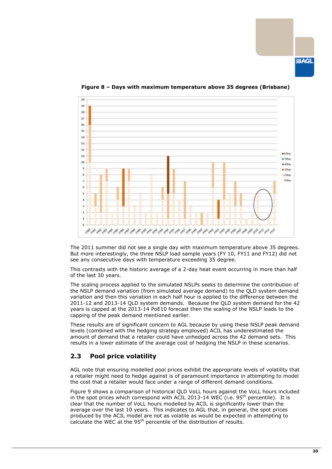**SMAGL** 



**Figure 8 – Days with maximum temperature above 35 degrees (Brisbane)**

The 2011 summer did not see a single day with maximum temperature above 35 degrees. But more interestingly, the three NSLP load sample years (FY 10, FY11 and FY12) did not see any consecutive days with temperature exceeding 35 degree.

This contrasts with the historic average of a 2-day heat event occurring in more than half of the last 30 years.

The scaling process applied to the simulated NSLPs seeks to determine the contribution of the NSLP demand variation (from simulated average demand) to the QLD system demand variation and then this variation in each half hour is applied to the difference between the 2011-12 and 2013-14 QLD system demands. Because the QLD system demand for the 42 years is capped at the 2013-14 PoE10 forecast then the scaling of the NSLP leads to the capping of the peak demand mentioned earlier.

These results are of significant concern to AGL because by using these NSLP peak demand levels (combined with the hedging strategy employed) ACIL has underestimated the amount of demand that a retailer could have unhedged across the 42 demand sets. This results in a lower estimate of the average cost of hedging the NSLP in these scenarios.

### <span id="page-21-0"></span>**2.3 Pool price volatility**

AGL note that ensuring modelled pool prices exhibit the appropriate levels of volatility that a retailer might need to hedge against is of paramount importance in attempting to model the cost that a retailer would face under a range of different demand conditions.

Figure 9 shows a comparison of historical QLD VoLL hours against the VoLL hours included in the spot prices which correspond with ACIL 2013-14 WEC (i.e.  $95<sup>th</sup>$  percentile). It is clear that the number of VoLL hours modelled by ACIL is significantly lower than the average over the last 10 years. This indicates to AGL that, in general, the spot prices produced by the ACIL model are not as volatile as would be expected in attempting to calculate the WEC at the  $95<sup>th</sup>$  percentile of the distribution of results.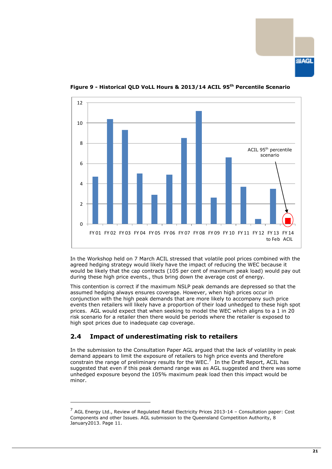**SIAGL** 



**Figure 9 - Historical QLD VoLL Hours & 2013/14 ACIL 95th Percentile Scenario**

In the Workshop held on 7 March ACIL stressed that volatile pool prices combined with the agreed hedging strategy would likely have the impact of reducing the WEC because it would be likely that the cap contracts (105 per cent of maximum peak load) would pay out during these high price events., thus bring down the average cost of energy.

This contention is correct if the maximum NSLP peak demands are depressed so that the assumed hedging always ensures coverage. However, when high prices occur in conjunction with the high peak demands that are more likely to accompany such price events then retailers will likely have a proportion of their load unhedged to these high spot prices. AGL would expect that when seeking to model the WEC which aligns to a 1 in 20 risk scenario for a retailer then there would be periods where the retailer is exposed to high spot prices due to inadequate cap coverage.

# <span id="page-22-0"></span>**2.4 Impact of underestimating risk to retailers**

-

In the submission to the Consultation Paper AGL argued that the lack of volatility in peak demand appears to limit the exposure of retailers to high price events and therefore constrain the range of preliminary results for the WEC. $<sup>7</sup>$  In the Draft Report, ACIL has</sup> suggested that even if this peak demand range was as AGL suggested and there was some unhedged exposure beyond the 105% maximum peak load then this impact would be minor.

<sup>&</sup>lt;sup>7</sup> AGL Energy Ltd., Review of Regulated Retail Electricity Prices 2013-14 - Consultation paper: Cost Components and other Issues. AGL submission to the Queensland Competition Authority, 8 January2013. Page 11.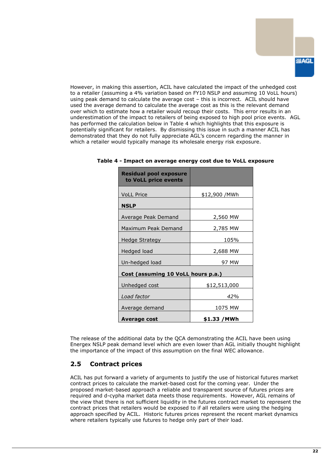However, in making this assertion, ACIL have calculated the impact of the unhedged cost to a retailer (assuming a 4% variation based on FY10 NSLP and assuming 10 VoLL hours) using peak demand to calculate the average cost – this is incorrect. ACIL should have used the average demand to calculate the average cost as this is the relevant demand over which to estimate how a retailer would recoup their costs. This error results in an underestimation of the impact to retailers of being exposed to high pool price events. AGL has performed the calculation below in Table 4 which highlights that this exposure is potentially significant for retailers. By dismissing this issue in such a manner ACIL has demonstrated that they do not fully appreciate AGL's concern regarding the manner in which a retailer would typically manage its wholesale energy risk exposure.

| <b>Residual pool exposure</b><br>to VoLL price events |                |  |
|-------------------------------------------------------|----------------|--|
| <b>VoLL Price</b>                                     | \$12,900 / MWh |  |
| <b>NSLP</b>                                           |                |  |
| Average Peak Demand                                   | 2,560 MW       |  |
| Maximum Peak Demand                                   | 2,785 MW       |  |
| Hedge Strategy                                        | 105%           |  |
| Hedged load                                           | 2,688 MW       |  |
| Un-hedged load                                        | 97 MW          |  |
| Cost (assuming 10 VoLL hours p.a.)                    |                |  |
| Unhedged cost                                         | \$12,513,000   |  |
| Load factor                                           | 42%            |  |
| Average demand                                        | 1075 MW        |  |
| Average cost                                          | \$1.33 /MWh    |  |

**Table 4 - Impact on average energy cost due to VoLL exposure**

The release of the additional data by the QCA demonstrating the ACIL have been using Energex NSLP peak demand level which are even lower than AGL initially thought highlight the importance of the impact of this assumption on the final WEC allowance.

# <span id="page-23-0"></span>**2.5 Contract prices**

ACIL has put forward a variety of arguments to justify the use of historical futures market contract prices to calculate the market-based cost for the coming year. Under the proposed market-based approach a reliable and transparent source of futures prices are required and d-cypha market data meets those requirements. However, AGL remains of the view that there is not sufficient liquidity in the futures contract market to represent the contract prices that retailers would be exposed to if all retailers were using the hedging approach specified by ACIL. Historic futures prices represent the recent market dynamics where retailers typically use futures to hedge only part of their load.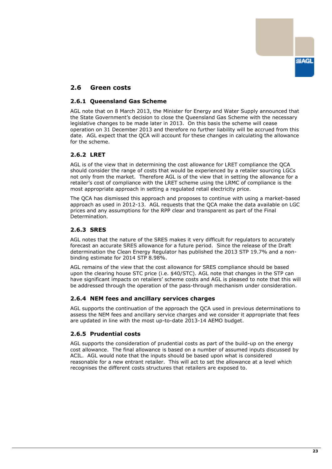

# <span id="page-24-0"></span>**2.6 Green costs**

#### **2.6.1 Queensland Gas Scheme**

AGL note that on 8 March 2013, the Minister for Energy and Water Supply announced that the State Government's decision to close the Queensland Gas Scheme with the necessary legislative changes to be made later in 2013. On this basis the scheme will cease operation on 31 December 2013 and therefore no further liability will be accrued from this date. AGL expect that the QCA will account for these changes in calculating the allowance for the scheme.

#### **2.6.2 LRET**

AGL is of the view that in determining the cost allowance for LRET compliance the QCA should consider the range of costs that would be experienced by a retailer sourcing LGCs not only from the market. Therefore AGL is of the view that in setting the allowance for a retailer's cost of compliance with the LRET scheme using the LRMC of compliance is the most appropriate approach in setting a regulated retail electricity price.

The QCA has dismissed this approach and proposes to continue with using a market-based approach as used in 2012-13. AGL requests that the QCA make the data available on LGC prices and any assumptions for the RPP clear and transparent as part of the Final .<br>Determination.

#### **2.6.3 SRES**

AGL notes that the nature of the SRES makes it very difficult for regulators to accurately forecast an accurate SRES allowance for a future period. Since the release of the Draft determination the Clean Energy Regulator has published the 2013 STP 19.7% and a nonbinding estimate for 2014 STP 8.98%.

AGL remains of the view that the cost allowance for SRES compliance should be based upon the clearing house STC price (i.e. \$40/STC). AGL note that changes in the STP can have significant impacts on retailers' scheme costs and AGL is pleased to note that this will be addressed through the operation of the pass-through mechanism under consideration.

#### **2.6.4 NEM fees and ancillary services charges**

AGL supports the continuation of the approach the QCA used in previous determinations to assess the NEM fees and ancillary service charges and we consider it appropriate that fees are updated in line with the most up-to-date 2013-14 AEMO budget.

#### **2.6.5 Prudential costs**

AGL supports the consideration of prudential costs as part of the build-up on the energy cost allowance. The final allowance is based on a number of assumed inputs discussed by ACIL. AGL would note that the inputs should be based upon what is considered reasonable for a new entrant retailer. This will act to set the allowance at a level which recognises the different costs structures that retailers are exposed to.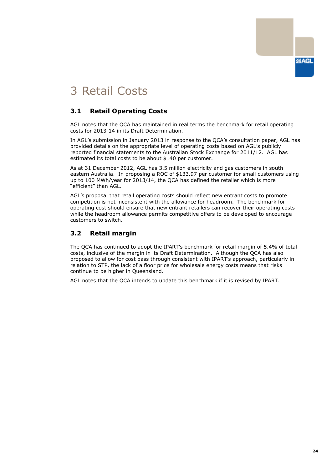

# <span id="page-25-0"></span>3 Retail Costs

# <span id="page-25-1"></span>**3.1 Retail Operating Costs**

AGL notes that the QCA has maintained in real terms the benchmark for retail operating costs for 2013-14 in its Draft Determination.

In AGL's submission in January 2013 in response to the QCA's consultation paper, AGL has provided details on the appropriate level of operating costs based on AGL's publicly reported financial statements to the Australian Stock Exchange for 2011/12. AGL has estimated its total costs to be about \$140 per customer.

As at 31 December 2012, AGL has 3.5 million electricity and gas customers in south eastern Australia. In proposing a ROC of \$133.97 per customer for small customers using up to 100 MWh/year for 2013/14, the QCA has defined the retailer which is more "efficient" than AGL.

AGL's proposal that retail operating costs should reflect new entrant costs to promote competition is not inconsistent with the allowance for headroom. The benchmark for operating cost should ensure that new entrant retailers can recover their operating costs while the headroom allowance permits competitive offers to be developed to encourage customers to switch.

# <span id="page-25-2"></span>**3.2 Retail margin**

The QCA has continued to adopt the IPART's benchmark for retail margin of 5.4% of total costs, inclusive of the margin in its Draft Determination. Although the QCA has also proposed to allow for cost pass through consistent with IPART's approach, particularly in relation to STP, the lack of a floor price for wholesale energy costs means that risks continue to be higher in Queensland.

AGL notes that the QCA intends to update this benchmark if it is revised by IPART.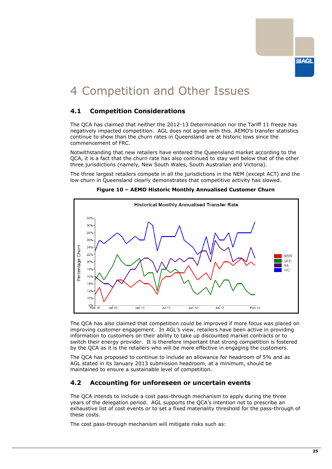# <span id="page-26-0"></span>4 Competition and Other Issues

# <span id="page-26-1"></span>**4.1 Competition Considerations**

The QCA has claimed that neither the 2012-13 Determination nor the Tariff 11 freeze has negatively impacted competition. AGL does not agree with this. AEMO's transfer statistics continue to show than the churn rates in Queensland are at historic lows since the commencement of FRC.

Notwithstanding that new retailers have entered the Queensland market according to the QCA, it is a fact that the churn rate has also continued to stay well below that of the other three jurisdictions (namely, New South Wales, South Australian and Victoria).

The three largest retailers compete in all the jurisdictions in the NEM (except ACT) and the low churn in Queensland clearly demonstrates that competitive activity has slowed.



**Figure 10 – AEMO Historic Monthly Annualised Customer Churn**

The QCA has also claimed that competition could be improved if more focus was placed on improving customer engagement. In AGL's view, retailers have been active in providing information to customers on their ability to take up discounted market contracts or to switch their energy provider. It is therefore important that strong competition is fostered by the QCA as it is the retailers who will be more effective in engaging the customers.

The QCA has proposed to continue to include an allowance for headroom of 5% and as AGL stated in its January 2013 submission headroom, at a minimum, should be maintained to ensure a sustainable level of competition.

# <span id="page-26-2"></span>**4.2 Accounting for unforeseen or uncertain events**

The QCA intends to include a cost pass-through mechanism to apply during the three years of the delegation period. AGL supports the QCA's intention not to prescribe an exhaustive list of cost events or to set a fixed materiality threshold for the pass-through of these costs.

The cost pass-through mechanism will mitigate risks such as: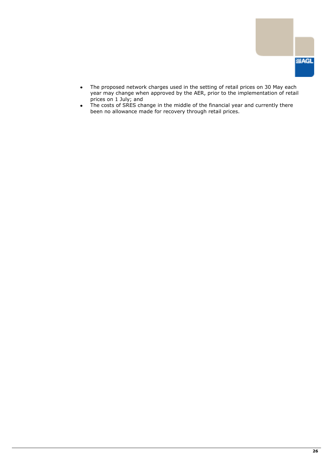

- The proposed network charges used in the setting of retail prices on 30 May each  $\bullet$ year may change when approved by the AER, prior to the implementation of retail prices on 1 July; and
- $\bullet$ The costs of SRES change in the middle of the financial year and currently there been no allowance made for recovery through retail prices.